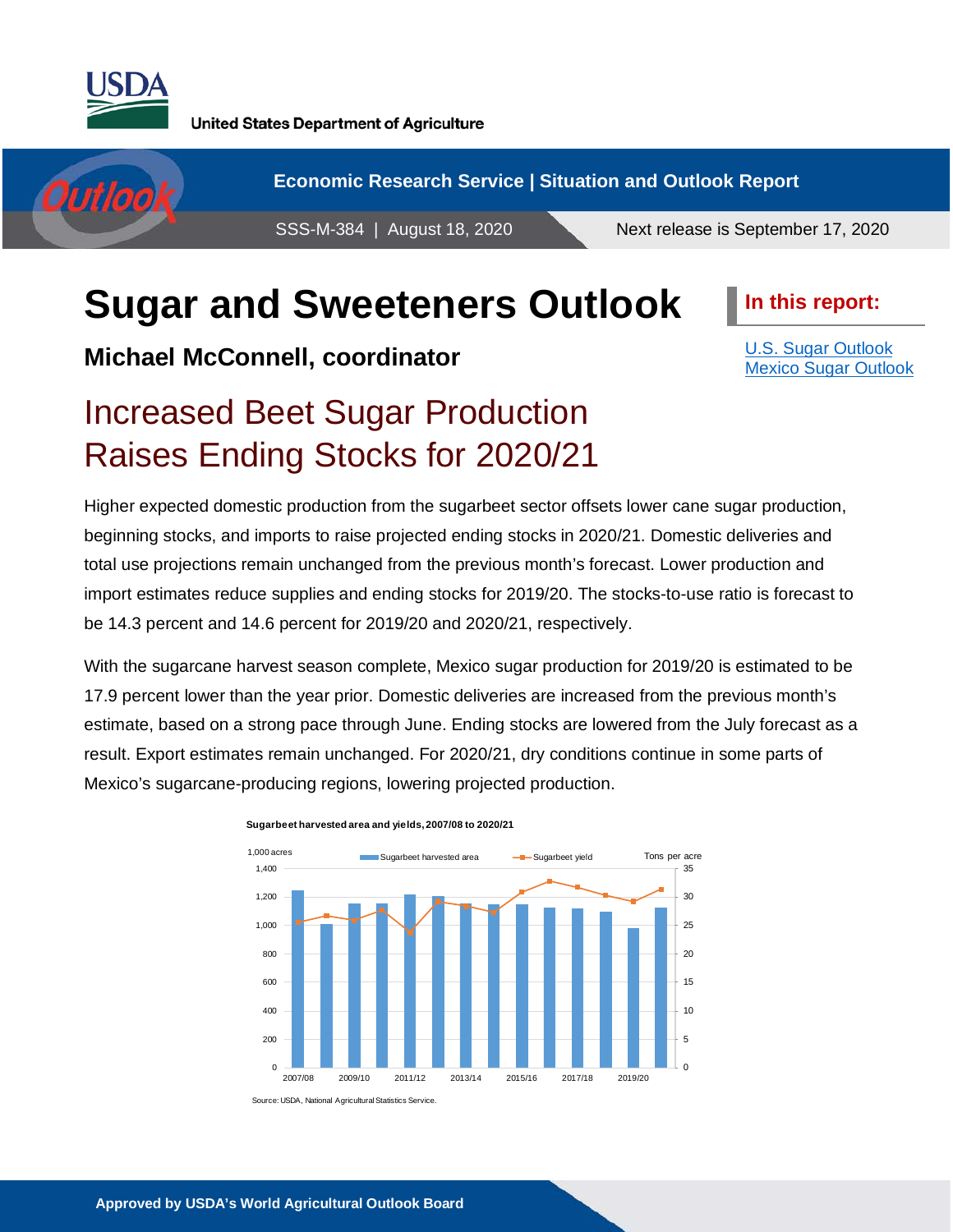

**United States Department of Agriculture** 

**Economic Research Service | Situation and Outlook Report** Outloo SSS-M-384 | August 18, 2020 Next release is September 17, 2020

# **Sugar and Sweeteners Outlook**

**Michael McConnell, coordinator**

**In this report:**

[U.S. Sugar Outlook](#page-1-0) [Mexico Sugar Outlook](#page-10-0)

# Increased Beet Sugar Production Raises Ending Stocks for 2020/21

Higher expected domestic production from the sugarbeet sector offsets lower cane sugar production, beginning stocks, and imports to raise projected ending stocks in 2020/21. Domestic deliveries and total use projections remain unchanged from the previous month's forecast. Lower production and import estimates reduce supplies and ending stocks for 2019/20. The stocks-to-use ratio is forecast to be 14.3 percent and 14.6 percent for 2019/20 and 2020/21, respectively.

With the sugarcane harvest season complete, Mexico sugar production for 2019/20 is estimated to be 17.9 percent lower than the year prior. Domestic deliveries are increased from the previous month's estimate, based on a strong pace through June. Ending stocks are lowered from the July forecast as a result. Export estimates remain unchanged. For 2020/21, dry conditions continue in some parts of Mexico's sugarcane-producing regions, lowering projected production.



**Sugarbeet harvested area and yields, 2007/08 to 2020/21**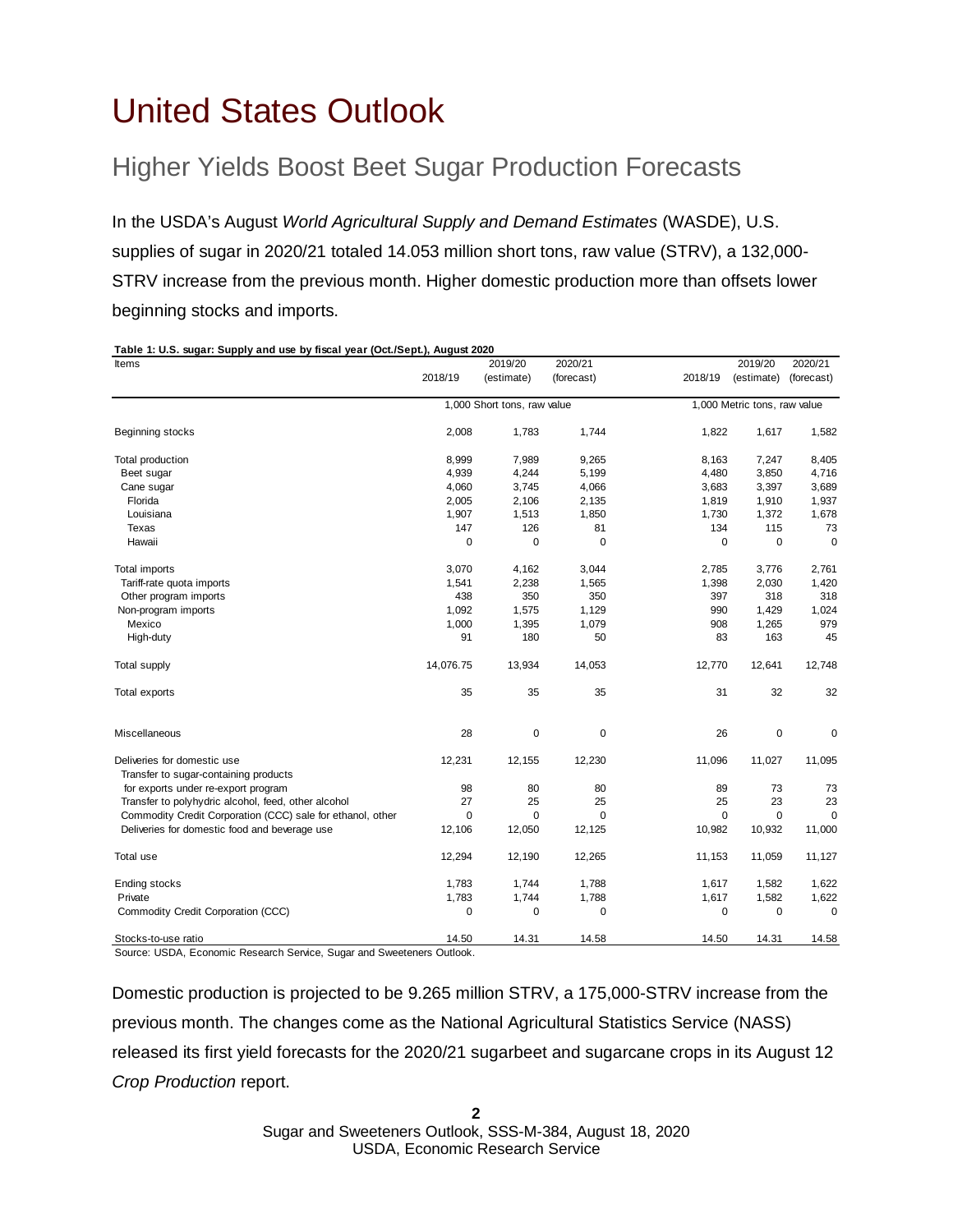# <span id="page-1-0"></span>United States Outlook

# Higher Yields Boost Beet Sugar Production Forecasts

In the USDA's August *World Agricultural Supply and Demand Estimates* (WASDE), U.S. supplies of sugar in 2020/21 totaled 14.053 million short tons, raw value (STRV), a 132,000- STRV increase from the previous month. Higher domestic production more than offsets lower beginning stocks and imports.

### **Table 1: U.S. sugar: Supply and use by fiscal year (Oct./Sept.), August 2020** Items 2019/20 2020/21 2019/20 2020/21 (estimate) (forecast) 12018/19 (estimate) (forecast) Beginning stocks 2,008 1,783 1,744 1,822 1,617 1,582 Total production 8,999 7,989 9,265 8,163 7,247 8,405 Beet sugar 4,939 4,244 5,199 4,480 3,850 4,716 Cane sugar 4,060 3,745 4,066 3,683 3,397 3,689 Florida 2,005 2,106 2,135 1,819 1,910 1,937 Louisiana 1,907 1,513 1,850 1,730 1,372 1,678 Texas 147 126 81 134 115 73 Hawaii 0 0 0 0 0 0 Total imports 3,070 4,162 3,044 2,785 3,776 2,761 Tariff-rate quota imports 1,541 1,541 2,238 1,565 1,398 2,030 1,420 Other program imports **60 and 50 and 50 and 50 and 438** 350 350 350 397 318 318 Non-program imports 1,092 1,575 1,129 990 1,429 1,024 Mexico 1,000 1,395 1,079 908 1,265 979 High-duty 91 180 50 83 163 45 Total supply 14,076.75 13,934 14,053 12,770 12,641 12,748 Total exports 35 35 35 31 32 32 Miscellaneous 28 0 0 26 0 0 Deliveries for domestic use 12,231 12,155 12,230 11,096 11,027 11,095 Transfer to sugar-containing products for exports under re-export program and the comparation of the set of the set of the set of the set of the set of the set of the set of the set of the set of the set of the set of the set of the set of the set of the set o Transfer to polyhydric alcohol, feed, other alcohol 27 25 25 23 23 23 Commodity Credit Corporation (CCC) sale for ethanol, other 0 0 0 0 0 0 Deliveries for domestic food and beverage use 12,106 12,050 12,125 10,982 10,932 11,000 Total use 12,294 12,190 12,265 11,153 11,059 11,127 Ending stocks 1,783 1,744 1,788 1,617 1,582 1,622 Private 2001 1,002 1,783 1,783 1,788 1,617 1,582 1,622 1,622 Commodity Credit Corporation (CCC) and the commodity Credit Corporation (CCC) and the commodity Credit Corporation (CCC) 2018/19 1,000 Short tons, raw value 1,000 Metric tons, raw value 2018/19

Stocks-to-use ratio 14.50 14.50 14.50 14.50 14.50 14.58 14.50 14.31 14.58 Source: USDA, Economic Research Service, Sugar and Sweeteners Outlook.

Domestic production is projected to be 9.265 million STRV, a 175,000-STRV increase from the previous month. The changes come as the National Agricultural Statistics Service (NASS) released its first yield forecasts for the 2020/21 sugarbeet and sugarcane crops in its August 12 *Crop Production* report.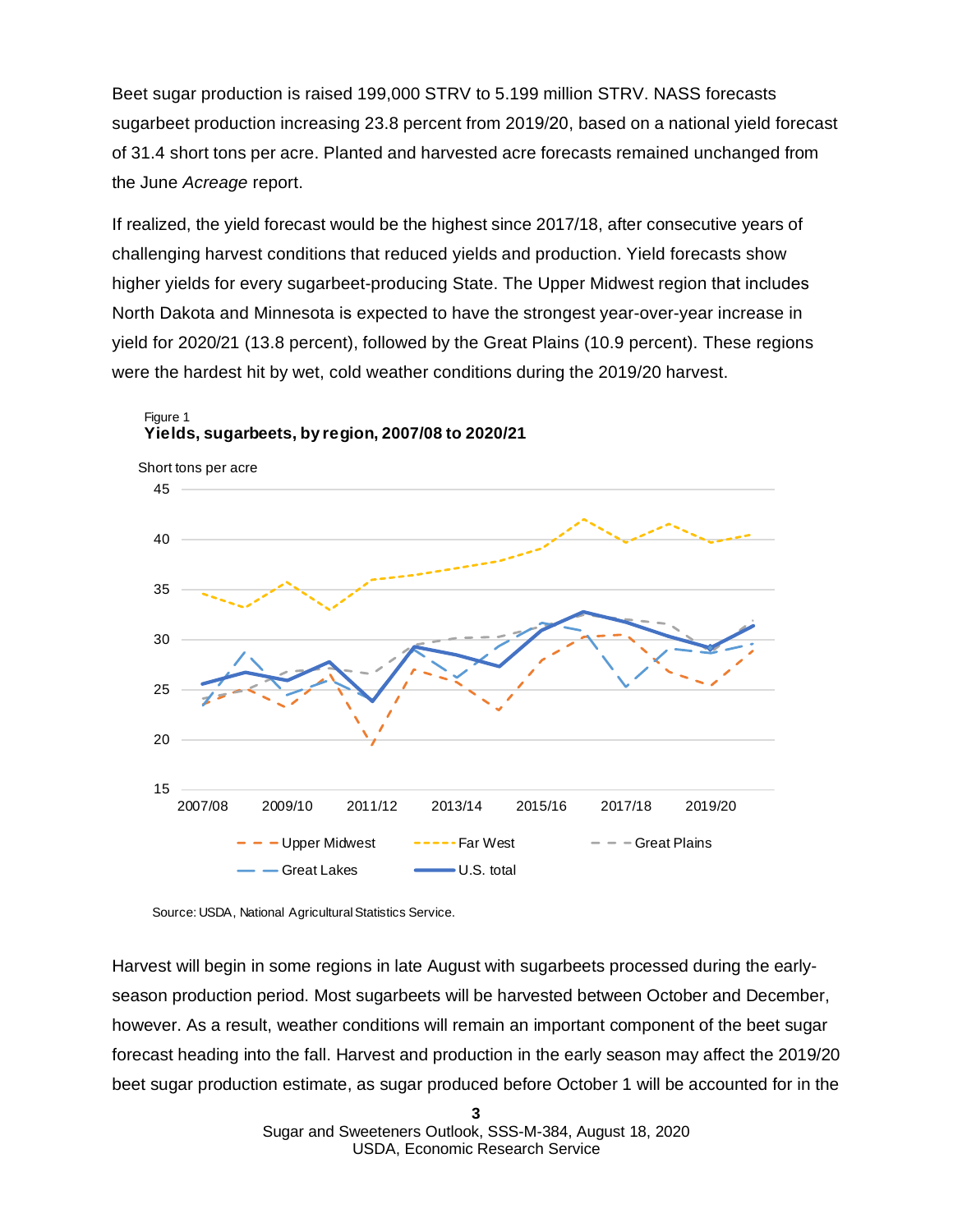Beet sugar production is raised 199,000 STRV to 5.199 million STRV. NASS forecasts sugarbeet production increasing 23.8 percent from 2019/20, based on a national yield forecast of 31.4 short tons per acre. Planted and harvested acre forecasts remained unchanged from the June *Acreage* report.

If realized, the yield forecast would be the highest since 2017/18, after consecutive years of challenging harvest conditions that reduced yields and production. Yield forecasts show higher yields for every sugarbeet-producing State. The Upper Midwest region that includes North Dakota and Minnesota is expected to have the strongest year-over-year increase in yield for 2020/21 (13.8 percent), followed by the Great Plains (10.9 percent). These regions were the hardest hit by wet, cold weather conditions during the 2019/20 harvest.



Figure 1 **Yields, sugarbeets, by region, 2007/08 to 2020/21**

Harvest will begin in some regions in late August with sugarbeets processed during the earlyseason production period. Most sugarbeets will be harvested between October and December, however. As a result, weather conditions will remain an important component of the beet sugar forecast heading into the fall. Harvest and production in the early season may affect the 2019/20 beet sugar production estimate, as sugar produced before October 1 will be accounted for in the

Source: USDA, National Agricultural Statistics Service.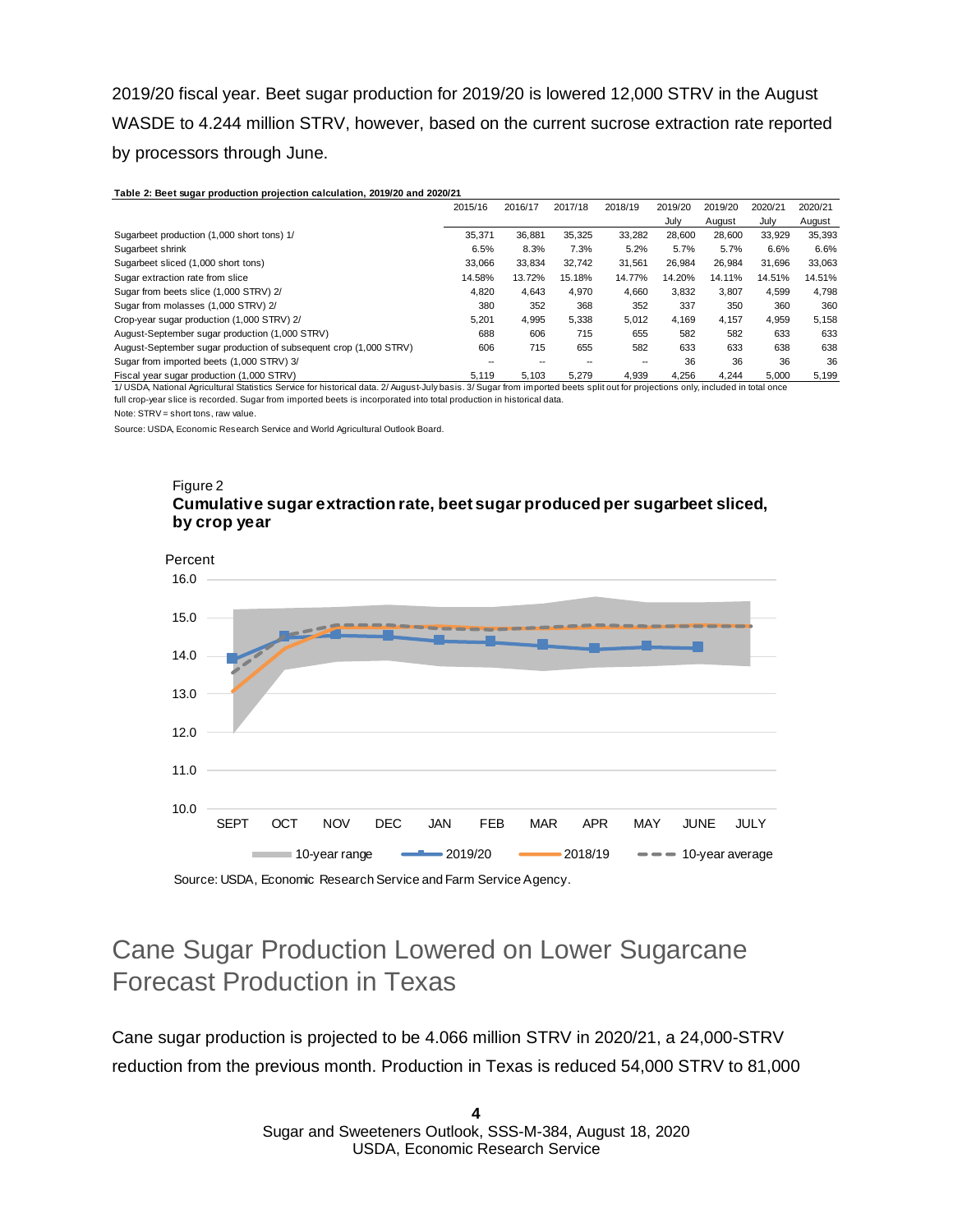2019/20 fiscal year. Beet sugar production for 2019/20 is lowered 12,000 STRV in the August WASDE to 4.244 million STRV, however, based on the current sucrose extraction rate reported by processors through June.

#### **Table 2: Beet sugar production projection calculation, 2019/20 and 2020/21**

|                                                                   | 2015/16 | 2016/17 | 2017/18 | 2018/19 | 2019/20 | 2019/20 | 2020/21 | 2020/21 |
|-------------------------------------------------------------------|---------|---------|---------|---------|---------|---------|---------|---------|
|                                                                   |         |         |         |         | July    | August  | July    | August  |
| Sugarbeet production (1,000 short tons) 1/                        | 35.371  | 36.881  | 35.325  | 33.282  | 28.600  | 28.600  | 33.929  | 35,393  |
| Sugarbeet shrink                                                  | 6.5%    | 8.3%    | 7.3%    | 5.2%    | 5.7%    | 5.7%    | 6.6%    | 6.6%    |
| Sugarbeet sliced (1,000 short tons)                               | 33.066  | 33,834  | 32.742  | 31.561  | 26.984  | 26.984  | 31.696  | 33,063  |
| Sugar extraction rate from slice                                  | 14.58%  | 13.72%  | 15.18%  | 14.77%  | 14.20%  | 14.11%  | 14.51%  | 14.51%  |
| Sugar from beets slice (1,000 STRV) 2/                            | 4.820   | 4.643   | 4.970   | 4.660   | 3.832   | 3.807   | 4.599   | 4.798   |
| Sugar from molasses (1,000 STRV) 2/                               | 380     | 352     | 368     | 352     | 337     | 350     | 360     | 360     |
| Crop-year sugar production (1,000 STRV) 2/                        | 5.201   | 4,995   | 5,338   | 5.012   | 4.169   | 4.157   | 4.959   | 5,158   |
| August-September sugar production (1,000 STRV)                    | 688     | 606     | 715     | 655     | 582     | 582     | 633     | 633     |
| August-September sugar production of subsequent crop (1,000 STRV) | 606     | 715     | 655     | 582     | 633     | 633     | 638     | 638     |
| Sugar from imported beets (1,000 STRV) 3/                         | $-$     | --      |         | --      | 36      | 36      | 36      | 36      |
| Fiscal year sugar production (1,000 STRV)                         | 5,119   | 5,103   | 5.279   | 4.939   | 4.256   | 4.244   | 5,000   | 5,199   |

1/ USDA, National Agricultural Statistics Service for historical data. 2/ August-July basis. 3/ Sugar from imported beets split out for projections only, included in total once full crop-year slice is recorded. Sugar from imported beets is incorporated into total production in historical data.

Note: STRV = short tons, raw value.

Source: USDA, Economic Research Service and World Agricultural Outlook Board.

### Figure 2 **Cumulative sugar extraction rate, beet sugar produced per sugarbeet sliced, by crop year**



Source: USDA, Economic Research Service and Farm Service Agency.

# Cane Sugar Production Lowered on Lower Sugarcane Forecast Production in Texas

Cane sugar production is projected to be 4.066 million STRV in 2020/21, a 24,000-STRV reduction from the previous month. Production in Texas is reduced 54,000 STRV to 81,000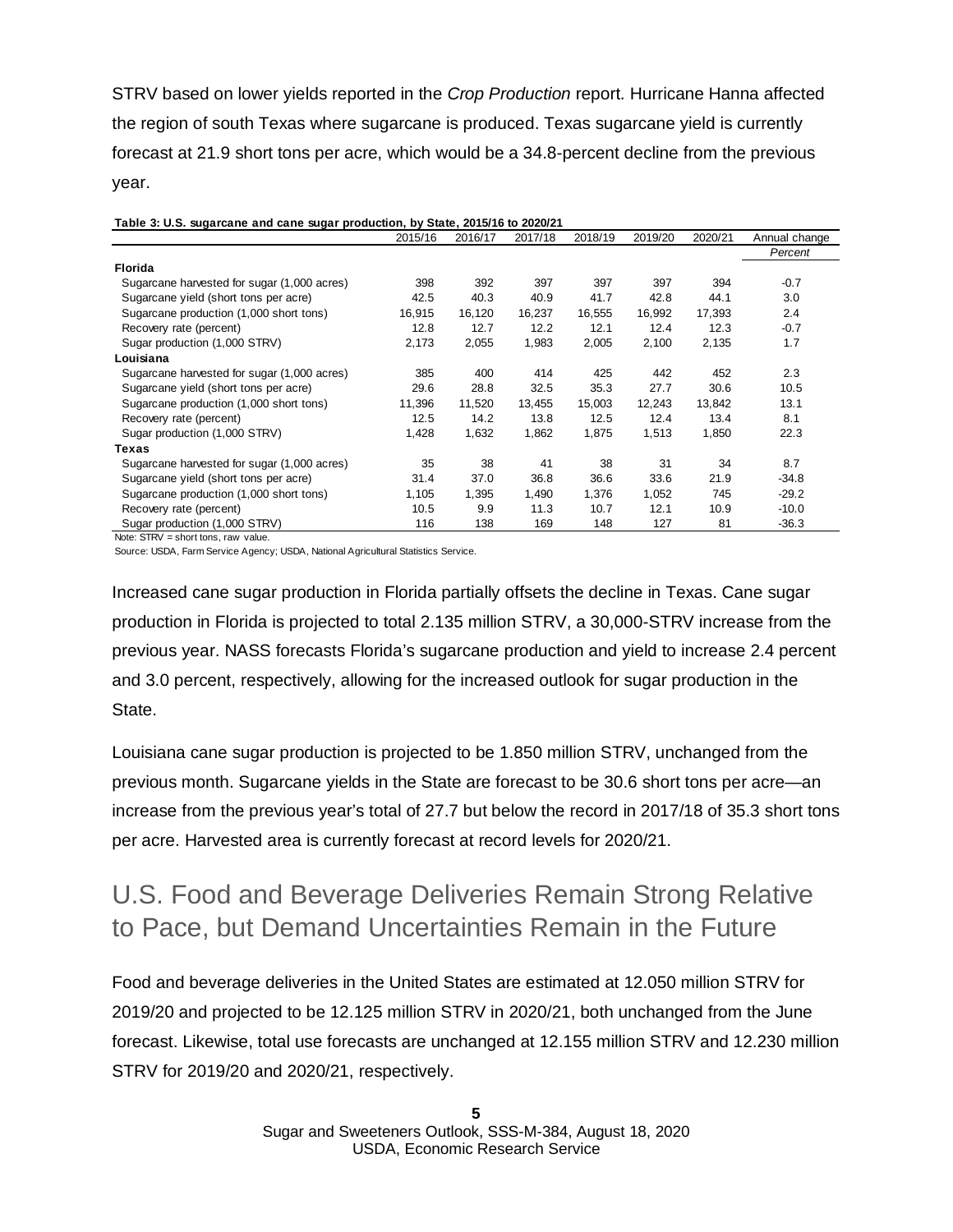STRV based on lower yields reported in the *Crop Production* report. Hurricane Hanna affected the region of south Texas where sugarcane is produced. Texas sugarcane yield is currently forecast at 21.9 short tons per acre, which would be a 34.8-percent decline from the previous year.

|                                             | 2015/16 | 2016/17 | 2017/18 | 2018/19 | 2019/20 | 2020/21 | Annual change |
|---------------------------------------------|---------|---------|---------|---------|---------|---------|---------------|
|                                             |         |         |         |         |         |         | Percent       |
| <b>Florida</b>                              |         |         |         |         |         |         |               |
| Sugarcane harvested for sugar (1,000 acres) | 398     | 392     | 397     | 397     | 397     | 394     | $-0.7$        |
| Sugarcane yield (short tons per acre)       | 42.5    | 40.3    | 40.9    | 41.7    | 42.8    | 44.1    | 3.0           |
| Sugarcane production (1,000 short tons)     | 16,915  | 16,120  | 16,237  | 16,555  | 16,992  | 17,393  | 2.4           |
| Recovery rate (percent)                     | 12.8    | 12.7    | 12.2    | 12.1    | 12.4    | 12.3    | $-0.7$        |
| Sugar production (1,000 STRV)               | 2,173   | 2,055   | 1,983   | 2,005   | 2,100   | 2,135   | 1.7           |
| Louisiana                                   |         |         |         |         |         |         |               |
| Sugarcane harvested for sugar (1,000 acres) | 385     | 400     | 414     | 425     | 442     | 452     | 2.3           |
| Sugarcane yield (short tons per acre)       | 29.6    | 28.8    | 32.5    | 35.3    | 27.7    | 30.6    | 10.5          |
| Sugarcane production (1,000 short tons)     | 11,396  | 11,520  | 13,455  | 15,003  | 12,243  | 13,842  | 13.1          |
| Recovery rate (percent)                     | 12.5    | 14.2    | 13.8    | 12.5    | 12.4    | 13.4    | 8.1           |
| Sugar production (1,000 STRV)               | 1,428   | 1,632   | 1,862   | 1,875   | 1,513   | 1,850   | 22.3          |
| Texas                                       |         |         |         |         |         |         |               |
| Sugarcane harvested for sugar (1,000 acres) | 35      | 38      | 41      | 38      | 31      | 34      | 8.7           |
| Sugarcane yield (short tons per acre)       | 31.4    | 37.0    | 36.8    | 36.6    | 33.6    | 21.9    | $-34.8$       |
| Sugarcane production (1,000 short tons)     | 1,105   | 1,395   | 1,490   | 1,376   | 1,052   | 745     | $-29.2$       |
| Recovery rate (percent)                     | 10.5    | 9.9     | 11.3    | 10.7    | 12.1    | 10.9    | $-10.0$       |
| Sugar production (1,000 STRV)               | 116     | 138     | 169     | 148     | 127     | 81      | $-36.3$       |

Note: STRV = short tons, raw value.

Source: USDA, Farm Service Agency; USDA, National Agricultural Statistics Service.

Increased cane sugar production in Florida partially offsets the decline in Texas. Cane sugar production in Florida is projected to total 2.135 million STRV, a 30,000-STRV increase from the previous year. NASS forecasts Florida's sugarcane production and yield to increase 2.4 percent and 3.0 percent, respectively, allowing for the increased outlook for sugar production in the State.

Louisiana cane sugar production is projected to be 1.850 million STRV, unchanged from the previous month. Sugarcane yields in the State are forecast to be 30.6 short tons per acre—an increase from the previous year's total of 27.7 but below the record in 2017/18 of 35.3 short tons per acre. Harvested area is currently forecast at record levels for 2020/21.

# U.S. Food and Beverage Deliveries Remain Strong Relative to Pace, but Demand Uncertainties Remain in the Future

Food and beverage deliveries in the United States are estimated at 12.050 million STRV for 2019/20 and projected to be 12.125 million STRV in 2020/21, both unchanged from the June forecast. Likewise, total use forecasts are unchanged at 12.155 million STRV and 12.230 million STRV for 2019/20 and 2020/21, respectively.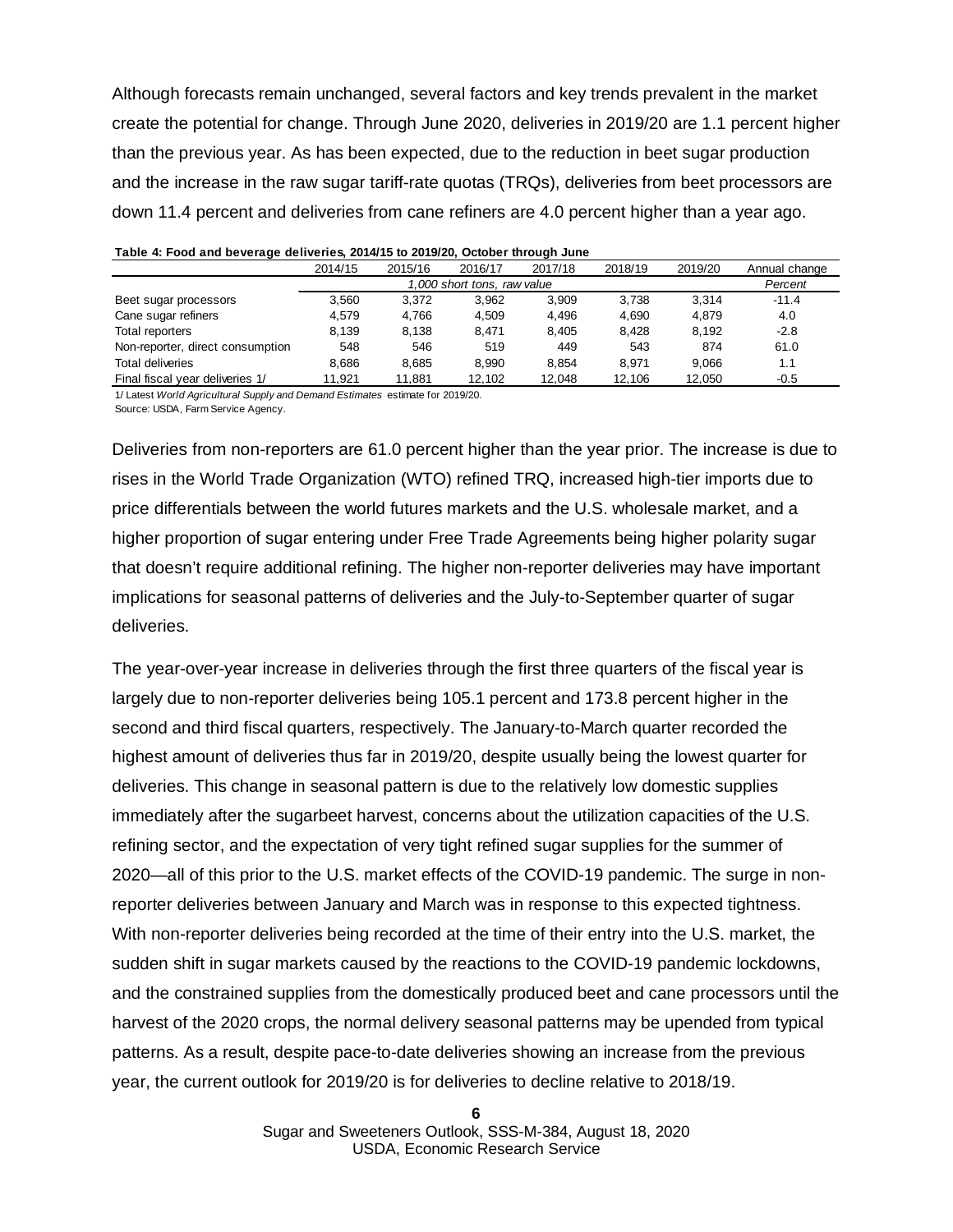Although forecasts remain unchanged, several factors and key trends prevalent in the market create the potential for change. Through June 2020, deliveries in 2019/20 are 1.1 percent higher than the previous year. As has been expected, due to the reduction in beet sugar production and the increase in the raw sugar tariff-rate quotas (TRQs), deliveries from beet processors are down 11.4 percent and deliveries from cane refiners are 4.0 percent higher than a year ago.

|                                  | 2014/15 | 2015/16 | 2016/17 | 2017/18 | 2018/19 | 2019/20 | Annual change |
|----------------------------------|---------|---------|---------|---------|---------|---------|---------------|
|                                  |         | Percent |         |         |         |         |               |
| Beet sugar processors            | 3.560   | 3.372   | 3.962   | 3.909   | 3.738   | 3.314   | $-11.4$       |
| Cane sugar refiners              | 4.579   | 4.766   | 4.509   | 4.496   | 4.690   | 4.879   | 4.0           |
| Total reporters                  | 8.139   | 8.138   | 8.471   | 8.405   | 8.428   | 8.192   | $-2.8$        |
| Non-reporter, direct consumption | 548     | 546     | 519     | 449     | 543     | 874     | 61.0          |
| <b>Total deliveries</b>          | 8.686   | 8.685   | 8.990   | 8.854   | 8.971   | 9.066   | 1.1           |
| Final fiscal year deliveries 1/  | 11.921  | 11,881  | 12,102  | 12,048  | 12,106  | 12.050  | $-0.5$        |
|                                  |         |         |         |         |         |         |               |

|  |  |  | Table 4: Food and beverage deliveries, 2014/15 to 2019/20, October through June |  |
|--|--|--|---------------------------------------------------------------------------------|--|
|  |  |  |                                                                                 |  |

1/ Latest *World Agricultural Supply and Demand Estimates* estimate for 2019/20. Source: USDA, Farm Service Agency.

Deliveries from non-reporters are 61.0 percent higher than the year prior. The increase is due to rises in the World Trade Organization (WTO) refined TRQ, increased high-tier imports due to price differentials between the world futures markets and the U.S. wholesale market, and a higher proportion of sugar entering under Free Trade Agreements being higher polarity sugar that doesn't require additional refining. The higher non-reporter deliveries may have important implications for seasonal patterns of deliveries and the July-to-September quarter of sugar deliveries.

The year-over-year increase in deliveries through the first three quarters of the fiscal year is largely due to non-reporter deliveries being 105.1 percent and 173.8 percent higher in the second and third fiscal quarters, respectively. The January-to-March quarter recorded the highest amount of deliveries thus far in 2019/20, despite usually being the lowest quarter for deliveries. This change in seasonal pattern is due to the relatively low domestic supplies immediately after the sugarbeet harvest, concerns about the utilization capacities of the U.S. refining sector, and the expectation of very tight refined sugar supplies for the summer of 2020—all of this prior to the U.S. market effects of the COVID-19 pandemic. The surge in nonreporter deliveries between January and March was in response to this expected tightness. With non-reporter deliveries being recorded at the time of their entry into the U.S. market, the sudden shift in sugar markets caused by the reactions to the COVID-19 pandemic lockdowns, and the constrained supplies from the domestically produced beet and cane processors until the harvest of the 2020 crops, the normal delivery seasonal patterns may be upended from typical patterns. As a result, despite pace-to-date deliveries showing an increase from the previous year, the current outlook for 2019/20 is for deliveries to decline relative to 2018/19.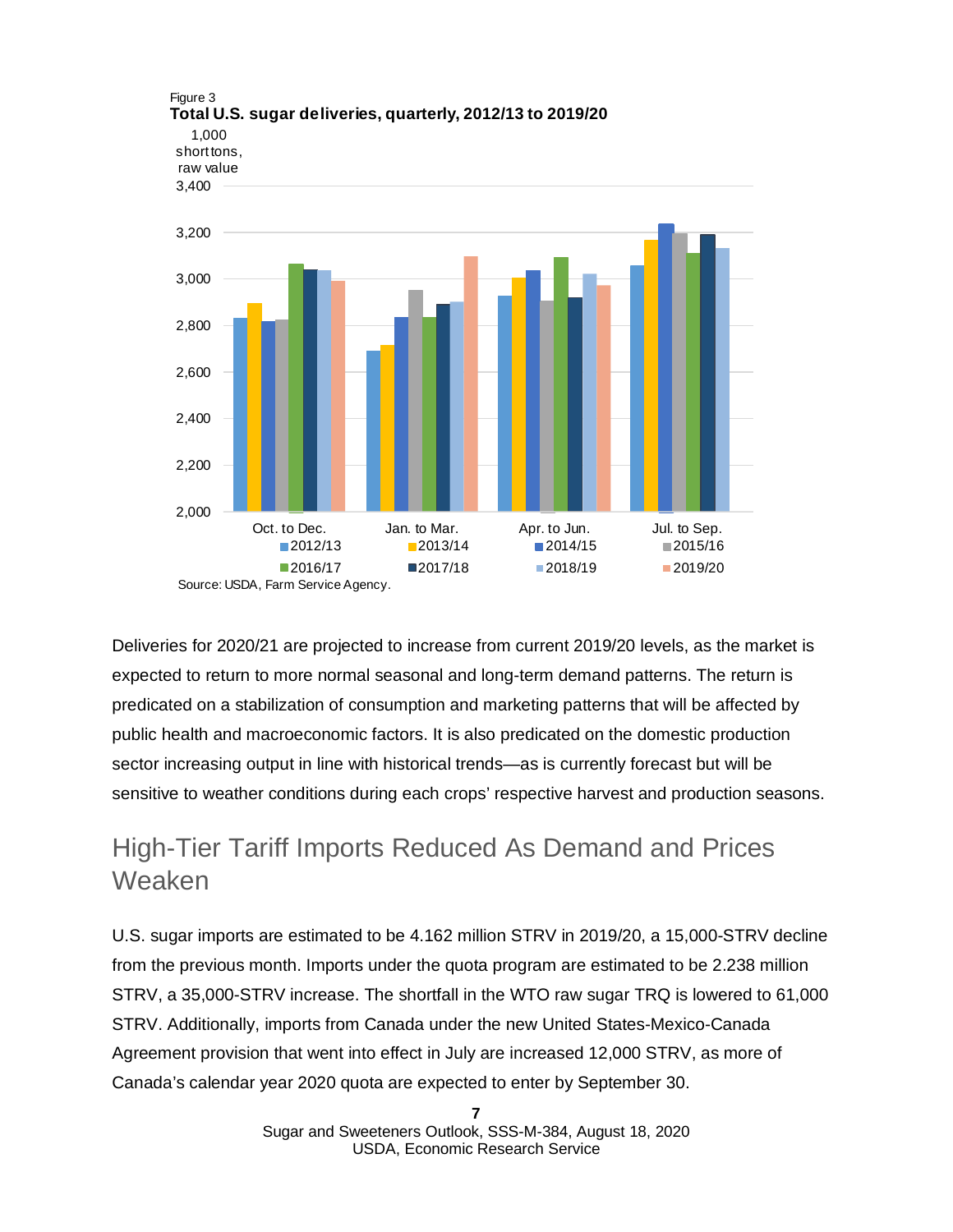

Deliveries for 2020/21 are projected to increase from current 2019/20 levels, as the market is expected to return to more normal seasonal and long-term demand patterns. The return is predicated on a stabilization of consumption and marketing patterns that will be affected by public health and macroeconomic factors. It is also predicated on the domestic production sector increasing output in line with historical trends—as is currently forecast but will be sensitive to weather conditions during each crops' respective harvest and production seasons.

# High-Tier Tariff Imports Reduced As Demand and Prices Weaken

U.S. sugar imports are estimated to be 4.162 million STRV in 2019/20, a 15,000-STRV decline from the previous month. Imports under the quota program are estimated to be 2.238 million STRV, a 35,000-STRV increase. The shortfall in the WTO raw sugar TRQ is lowered to 61,000 STRV. Additionally, imports from Canada under the new United States-Mexico-Canada Agreement provision that went into effect in July are increased 12,000 STRV, as more of Canada's calendar year 2020 quota are expected to enter by September 30.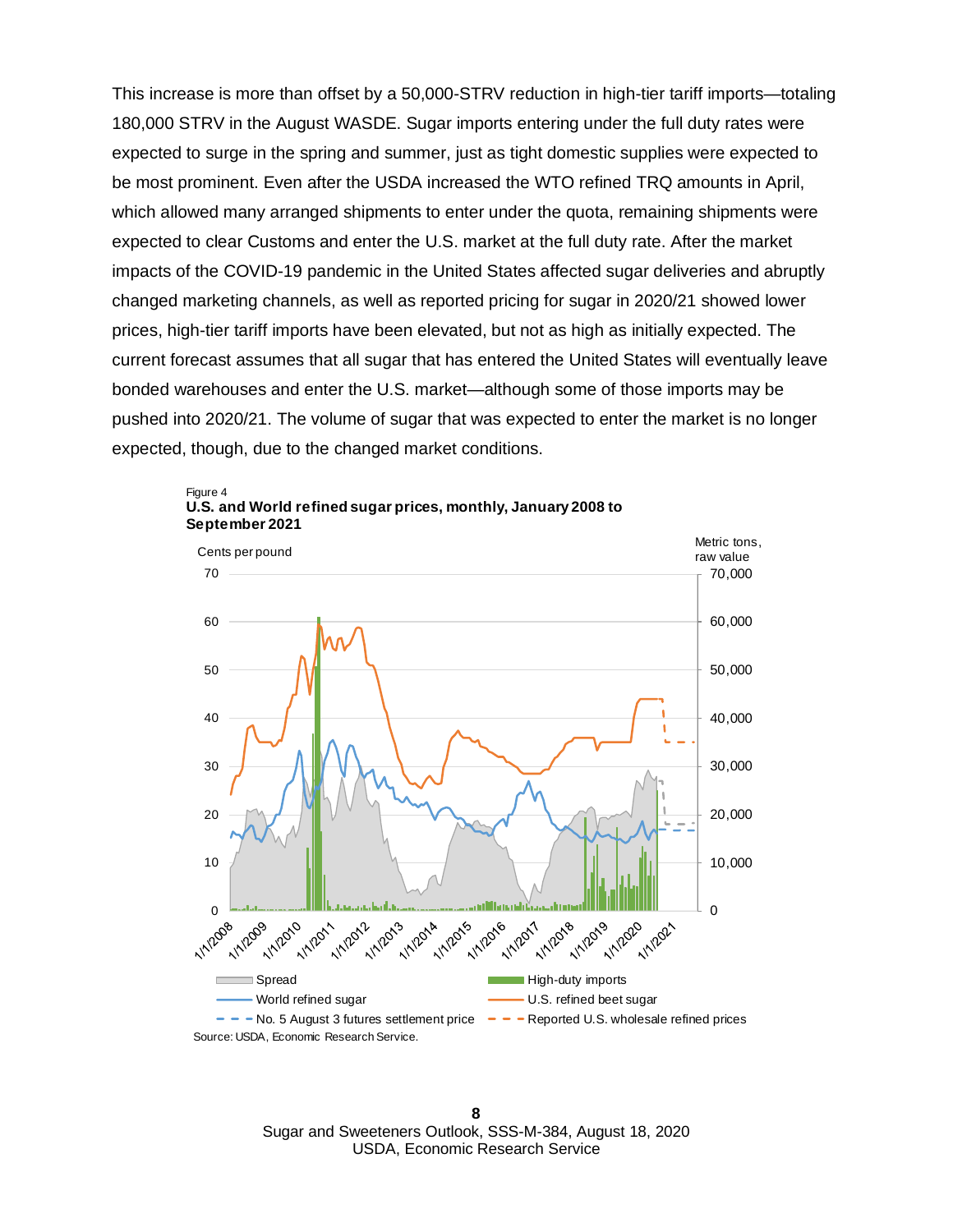This increase is more than offset by a 50,000-STRV reduction in high-tier tariff imports—totaling 180,000 STRV in the August WASDE. Sugar imports entering under the full duty rates were expected to surge in the spring and summer, just as tight domestic supplies were expected to be most prominent. Even after the USDA increased the WTO refined TRQ amounts in April, which allowed many arranged shipments to enter under the quota, remaining shipments were expected to clear Customs and enter the U.S. market at the full duty rate. After the market impacts of the COVID-19 pandemic in the United States affected sugar deliveries and abruptly changed marketing channels, as well as reported pricing for sugar in 2020/21 showed lower prices, high-tier tariff imports have been elevated, but not as high as initially expected. The current forecast assumes that all sugar that has entered the United States will eventually leave bonded warehouses and enter the U.S. market—although some of those imports may be pushed into 2020/21. The volume of sugar that was expected to enter the market is no longer expected, though, due to the changed market conditions.





**8** Sugar and Sweeteners Outlook, SSS-M-384, August 18, 2020 USDA, Economic Research Service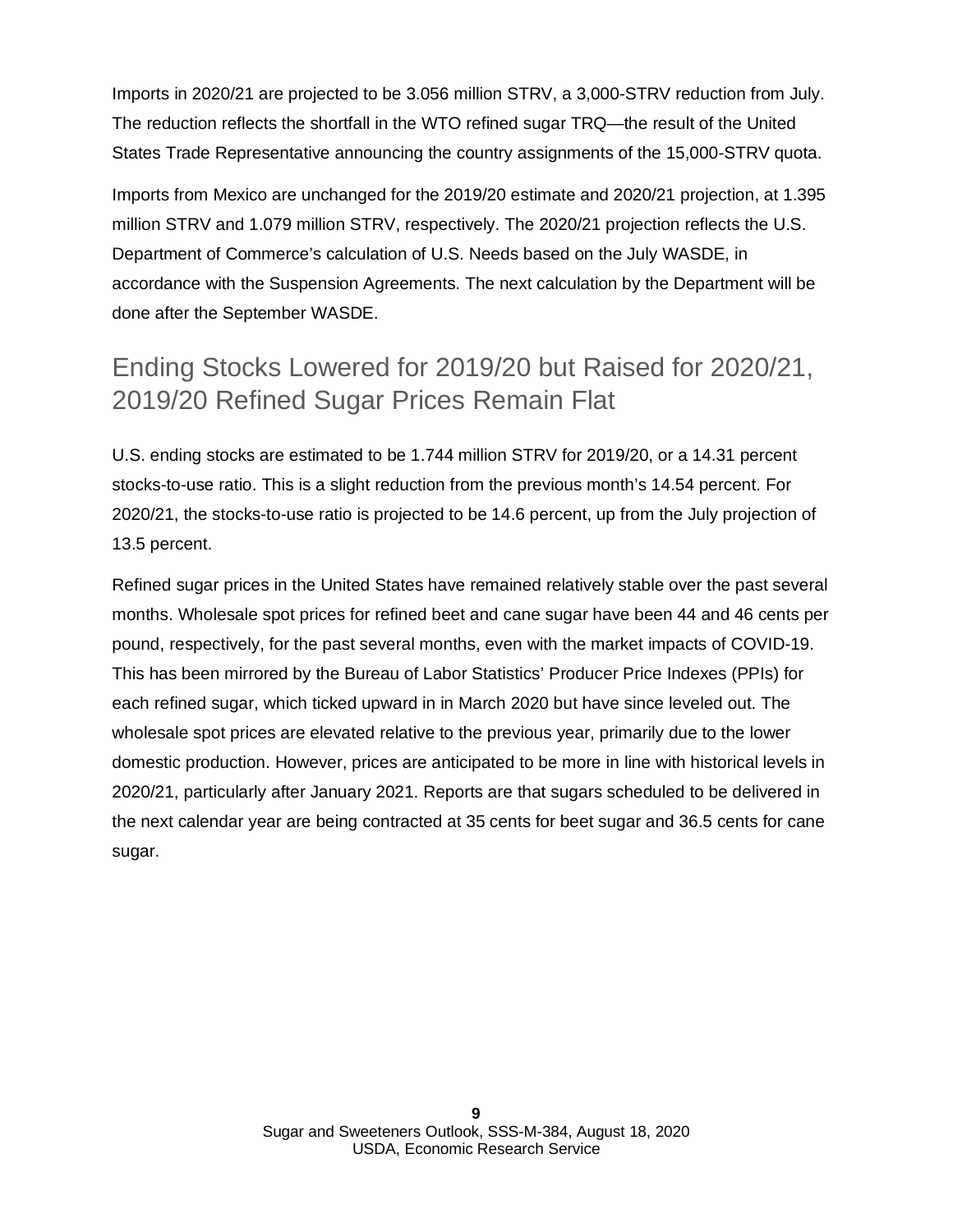Imports in 2020/21 are projected to be 3.056 million STRV, a 3,000-STRV reduction from July. The reduction reflects the shortfall in the WTO refined sugar TRQ—the result of the United States Trade Representative announcing the country assignments of the 15,000-STRV quota.

Imports from Mexico are unchanged for the 2019/20 estimate and 2020/21 projection, at 1.395 million STRV and 1.079 million STRV, respectively. The 2020/21 projection reflects the U.S. Department of Commerce's calculation of U.S. Needs based on the July WASDE, in accordance with the Suspension Agreements. The next calculation by the Department will be done after the September WASDE.

# Ending Stocks Lowered for 2019/20 but Raised for 2020/21, 2019/20 Refined Sugar Prices Remain Flat

U.S. ending stocks are estimated to be 1.744 million STRV for 2019/20, or a 14.31 percent stocks-to-use ratio. This is a slight reduction from the previous month's 14.54 percent. For 2020/21, the stocks-to-use ratio is projected to be 14.6 percent, up from the July projection of 13.5 percent.

Refined sugar prices in the United States have remained relatively stable over the past several months. Wholesale spot prices for refined beet and cane sugar have been 44 and 46 cents per pound, respectively, for the past several months, even with the market impacts of COVID-19. This has been mirrored by the Bureau of Labor Statistics' Producer Price Indexes (PPIs) for each refined sugar, which ticked upward in in March 2020 but have since leveled out. The wholesale spot prices are elevated relative to the previous year, primarily due to the lower domestic production. However, prices are anticipated to be more in line with historical levels in 2020/21, particularly after January 2021. Reports are that sugars scheduled to be delivered in the next calendar year are being contracted at 35 cents for beet sugar and 36.5 cents for cane sugar.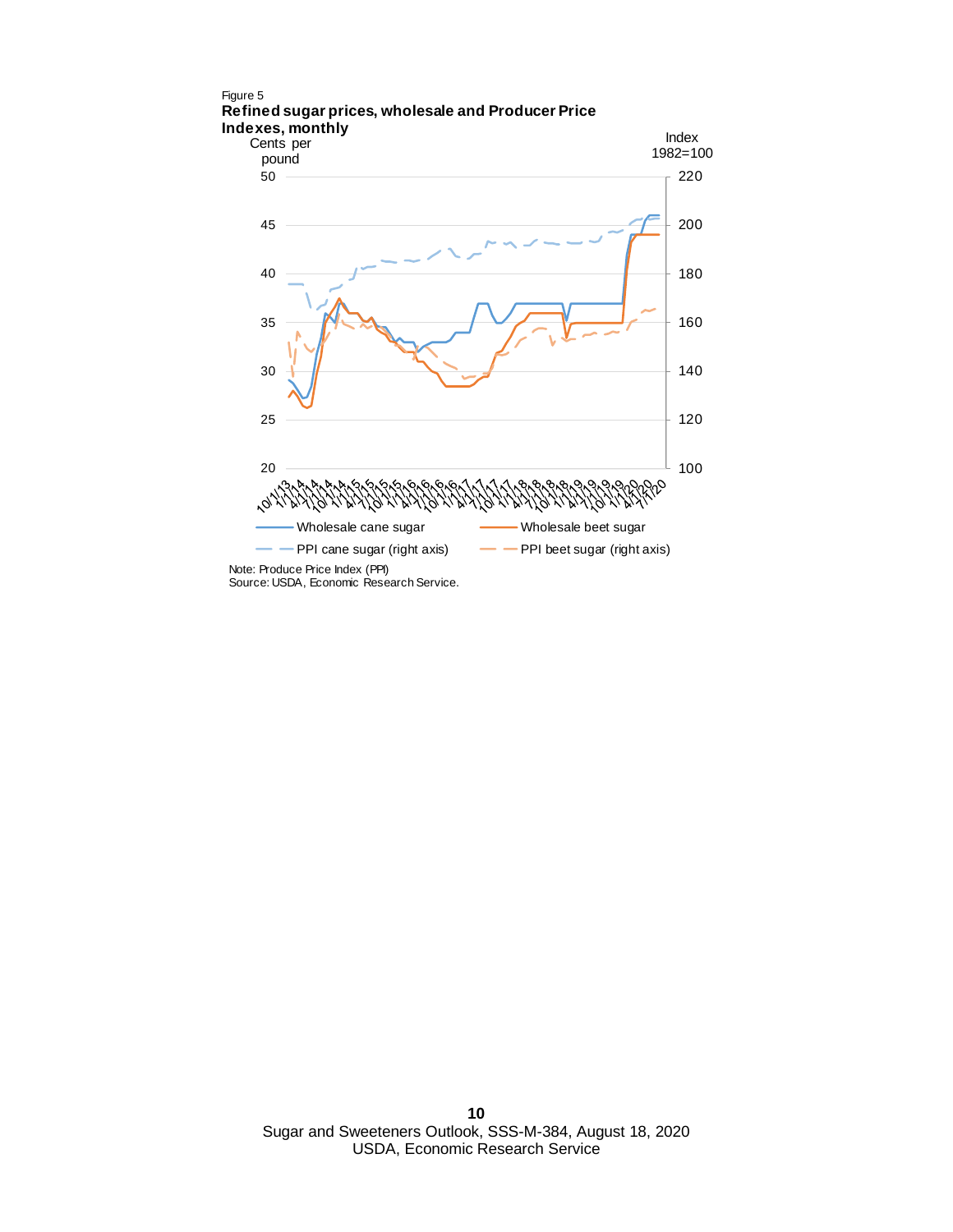

Source: USDA, Economic Research Service.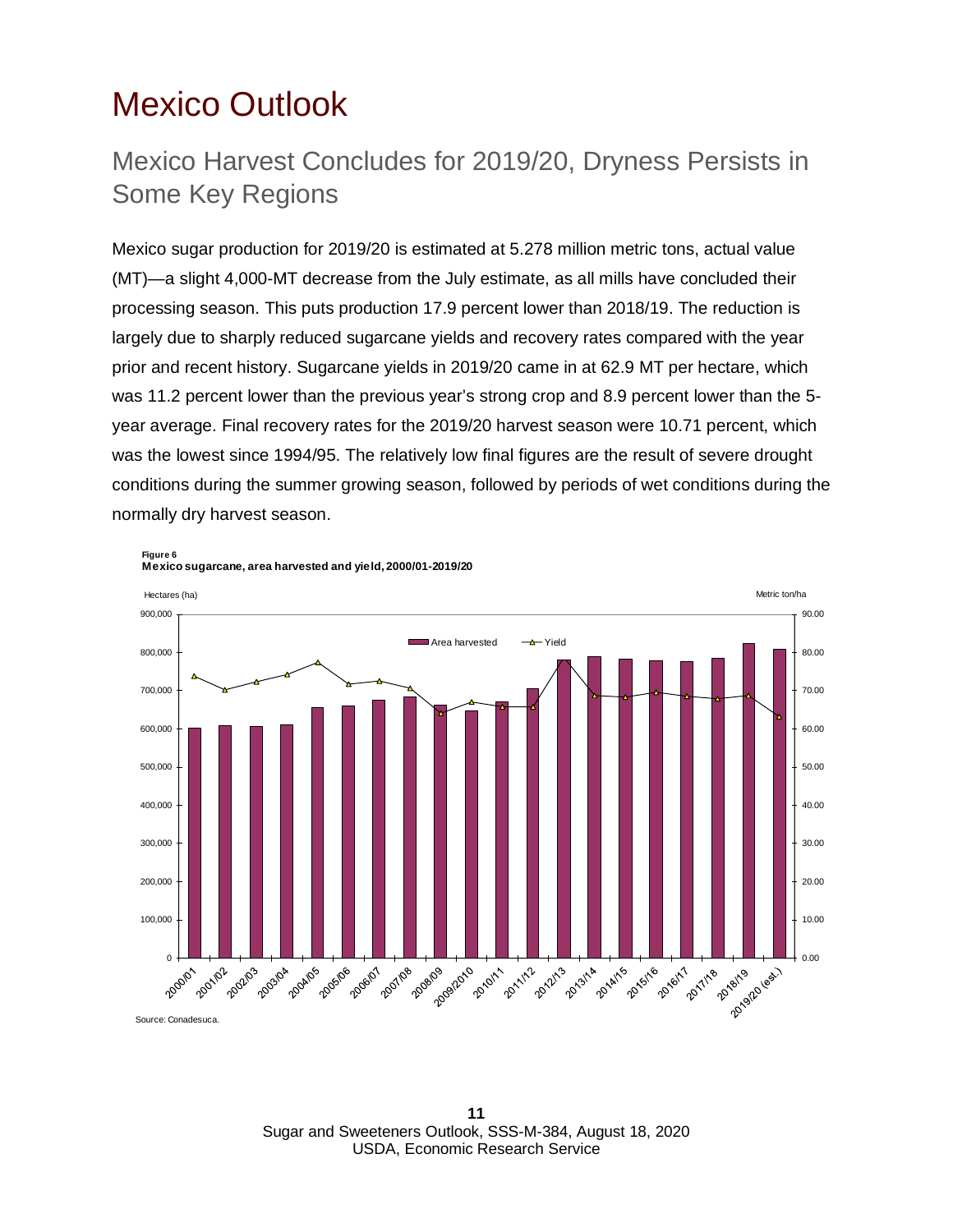# <span id="page-10-0"></span>Mexico Outlook

## Mexico Harvest Concludes for 2019/20, Dryness Persists in Some Key Regions

Mexico sugar production for 2019/20 is estimated at 5.278 million metric tons, actual value (MT)—a slight 4,000-MT decrease from the July estimate, as all mills have concluded their processing season. This puts production 17.9 percent lower than 2018/19. The reduction is largely due to sharply reduced sugarcane yields and recovery rates compared with the year prior and recent history. Sugarcane yields in 2019/20 came in at 62.9 MT per hectare, which was 11.2 percent lower than the previous year's strong crop and 8.9 percent lower than the 5 year average. Final recovery rates for the 2019/20 harvest season were 10.71 percent, which was the lowest since 1994/95. The relatively low final figures are the result of severe drought conditions during the summer growing season, followed by periods of wet conditions during the normally dry harvest season.



**11** Sugar and Sweeteners Outlook, SSS-M-384, August 18, 2020 USDA, Economic Research Service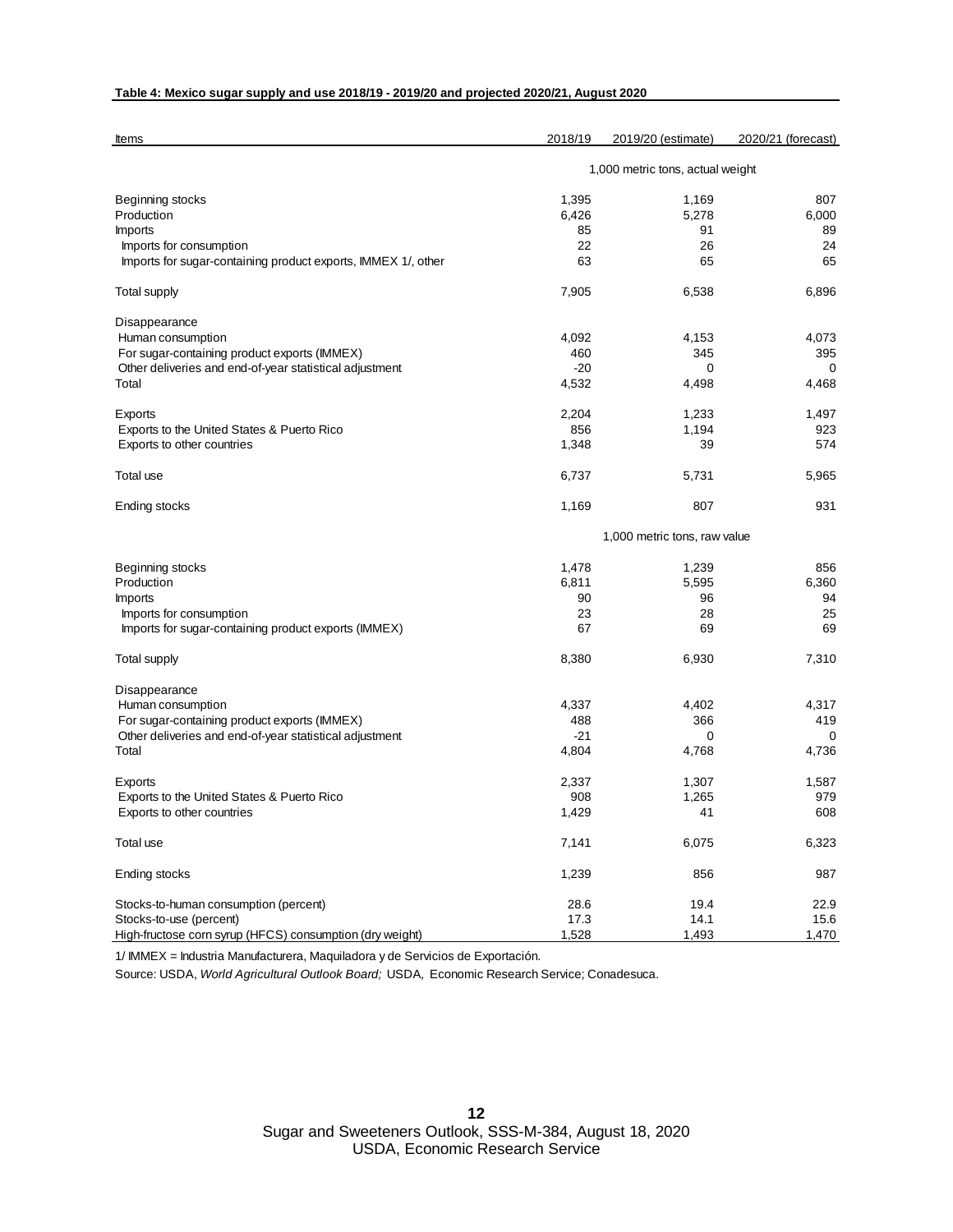### **Table 4: Mexico sugar supply and use 2018/19 - 2019/20 and projected 2020/21, August 2020**

| Items                                                         | 2018/19                          | 2019/20 (estimate) | 2020/21 (forecast) |  |  |
|---------------------------------------------------------------|----------------------------------|--------------------|--------------------|--|--|
|                                                               | 1,000 metric tons, actual weight |                    |                    |  |  |
| Beginning stocks                                              | 1,395                            | 1,169              | 807                |  |  |
| Production                                                    | 6,426                            | 5,278              | 6.000              |  |  |
| <b>Imports</b>                                                | 85                               | 91                 | 89                 |  |  |
| Imports for consumption                                       | 22                               | 26                 | 24                 |  |  |
| Imports for sugar-containing product exports, IMMEX 1/, other | 63                               | 65                 | 65                 |  |  |
| <b>Total supply</b>                                           | 7,905                            | 6,538              | 6,896              |  |  |
| Disappearance                                                 |                                  |                    |                    |  |  |
| Human consumption                                             | 4,092                            | 4,153              | 4,073              |  |  |
| For sugar-containing product exports (IMMEX)                  | 460                              | 345                | 395                |  |  |
| Other deliveries and end-of-year statistical adjustment       | $-20$                            | 0                  | 0                  |  |  |
| Total                                                         | 4,532                            | 4,498              | 4,468              |  |  |
| Exports                                                       | 2,204                            | 1,233              | 1,497              |  |  |
| Exports to the United States & Puerto Rico                    | 856                              | 1,194              | 923                |  |  |
| Exports to other countries                                    | 1,348                            | 39                 | 574                |  |  |
| <b>Total use</b>                                              | 6,737                            | 5,731              | 5,965              |  |  |
| Ending stocks                                                 | 1,169                            | 807                | 931                |  |  |
|                                                               | 1,000 metric tons, raw value     |                    |                    |  |  |
| Beginning stocks                                              | 1,478                            | 1,239              | 856                |  |  |
| Production                                                    | 6,811                            | 5,595              | 6,360              |  |  |
|                                                               | 90                               | 96                 |                    |  |  |
| <b>Imports</b>                                                |                                  |                    | 94                 |  |  |
| Imports for consumption                                       | 23                               | 28                 | 25                 |  |  |
| Imports for sugar-containing product exports (IMMEX)          | 67                               | 69                 | 69                 |  |  |
| <b>Total supply</b>                                           | 8,380                            | 6,930              | 7,310              |  |  |
| Disappearance                                                 |                                  |                    |                    |  |  |
| Human consumption                                             | 4,337                            | 4,402              | 4,317              |  |  |
| For sugar-containing product exports (IMMEX)                  | 488                              | 366                | 419                |  |  |
| Other deliveries and end-of-year statistical adjustment       | $-21$                            | 0                  | 0                  |  |  |
| Total                                                         | 4,804                            | 4,768              | 4,736              |  |  |
| Exports                                                       | 2,337                            | 1,307              | 1,587              |  |  |
| Exports to the United States & Puerto Rico                    | 908                              | 1,265              | 979                |  |  |
| Exports to other countries                                    | 1,429                            | 41                 | 608                |  |  |
| Total use                                                     | 7,141                            | 6,075              | 6,323              |  |  |
| Ending stocks                                                 | 1,239                            | 856                | 987                |  |  |
| Stocks-to-human consumption (percent)                         | 28.6                             | 19.4               | 22.9               |  |  |
| Stocks-to-use (percent)                                       | 17.3                             | 14.1               | 15.6               |  |  |
| High-fructose corn syrup (HFCS) consumption (dry weight)      | 1,528                            | 1,493              | 1,470              |  |  |

1/ IMMEX = Industria Manufacturera, Maquiladora y de Servicios de Exportación.

Source: USDA, *World Agricultural Outlook Board;* USDA*,* Economic Research Service; Conadesuca.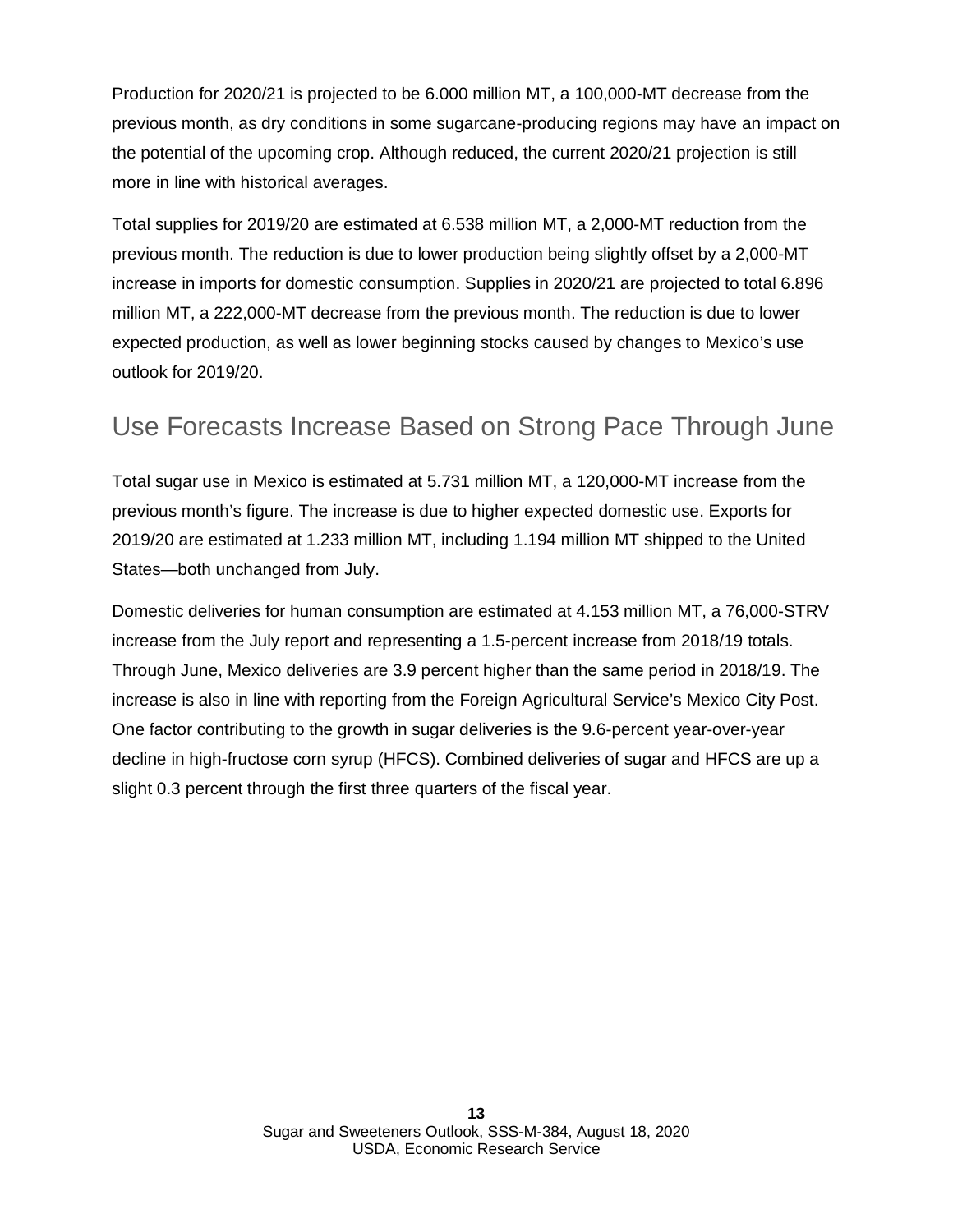Production for 2020/21 is projected to be 6.000 million MT, a 100,000-MT decrease from the previous month, as dry conditions in some sugarcane-producing regions may have an impact on the potential of the upcoming crop. Although reduced, the current 2020/21 projection is still more in line with historical averages.

Total supplies for 2019/20 are estimated at 6.538 million MT, a 2,000-MT reduction from the previous month. The reduction is due to lower production being slightly offset by a 2,000-MT increase in imports for domestic consumption. Supplies in 2020/21 are projected to total 6.896 million MT, a 222,000-MT decrease from the previous month. The reduction is due to lower expected production, as well as lower beginning stocks caused by changes to Mexico's use outlook for 2019/20.

### Use Forecasts Increase Based on Strong Pace Through June

Total sugar use in Mexico is estimated at 5.731 million MT, a 120,000-MT increase from the previous month's figure. The increase is due to higher expected domestic use. Exports for 2019/20 are estimated at 1.233 million MT, including 1.194 million MT shipped to the United States—both unchanged from July.

Domestic deliveries for human consumption are estimated at 4.153 million MT, a 76,000-STRV increase from the July report and representing a 1.5-percent increase from 2018/19 totals. Through June, Mexico deliveries are 3.9 percent higher than the same period in 2018/19. The increase is also in line with reporting from the Foreign Agricultural Service's Mexico City Post. One factor contributing to the growth in sugar deliveries is the 9.6-percent year-over-year decline in high-fructose corn syrup (HFCS). Combined deliveries of sugar and HFCS are up a slight 0.3 percent through the first three quarters of the fiscal year.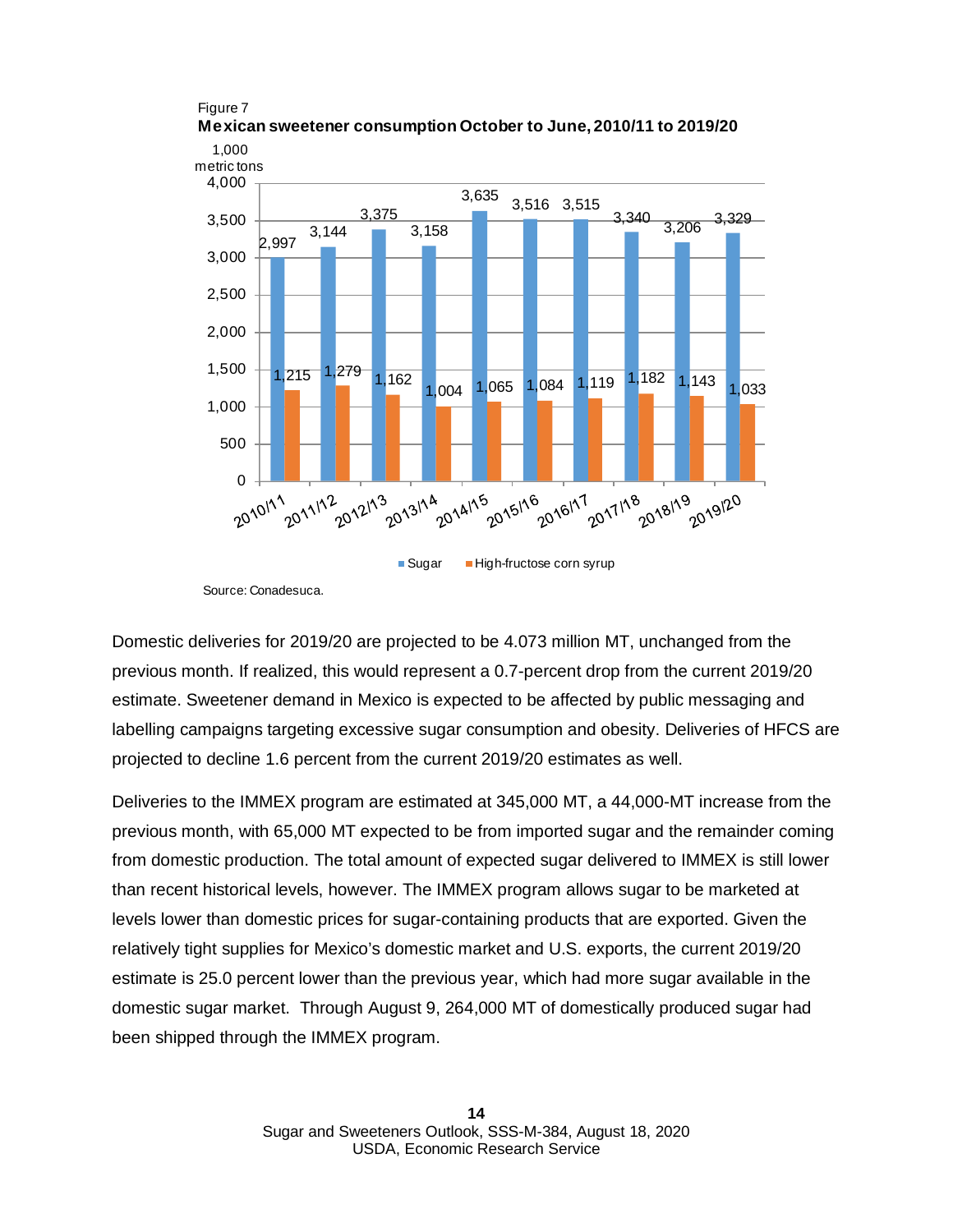

Figure 7 **Mexican sweetener consumption October to June, 2010/11 to 2019/20**

Source: Conadesuca.

Domestic deliveries for 2019/20 are projected to be 4.073 million MT, unchanged from the previous month. If realized, this would represent a 0.7-percent drop from the current 2019/20 estimate. Sweetener demand in Mexico is expected to be affected by public messaging and labelling campaigns targeting excessive sugar consumption and obesity. Deliveries of HFCS are projected to decline 1.6 percent from the current 2019/20 estimates as well.

Deliveries to the IMMEX program are estimated at 345,000 MT, a 44,000-MT increase from the previous month, with 65,000 MT expected to be from imported sugar and the remainder coming from domestic production. The total amount of expected sugar delivered to IMMEX is still lower than recent historical levels, however. The IMMEX program allows sugar to be marketed at levels lower than domestic prices for sugar-containing products that are exported. Given the relatively tight supplies for Mexico's domestic market and U.S. exports, the current 2019/20 estimate is 25.0 percent lower than the previous year, which had more sugar available in the domestic sugar market. Through August 9, 264,000 MT of domestically produced sugar had been shipped through the IMMEX program.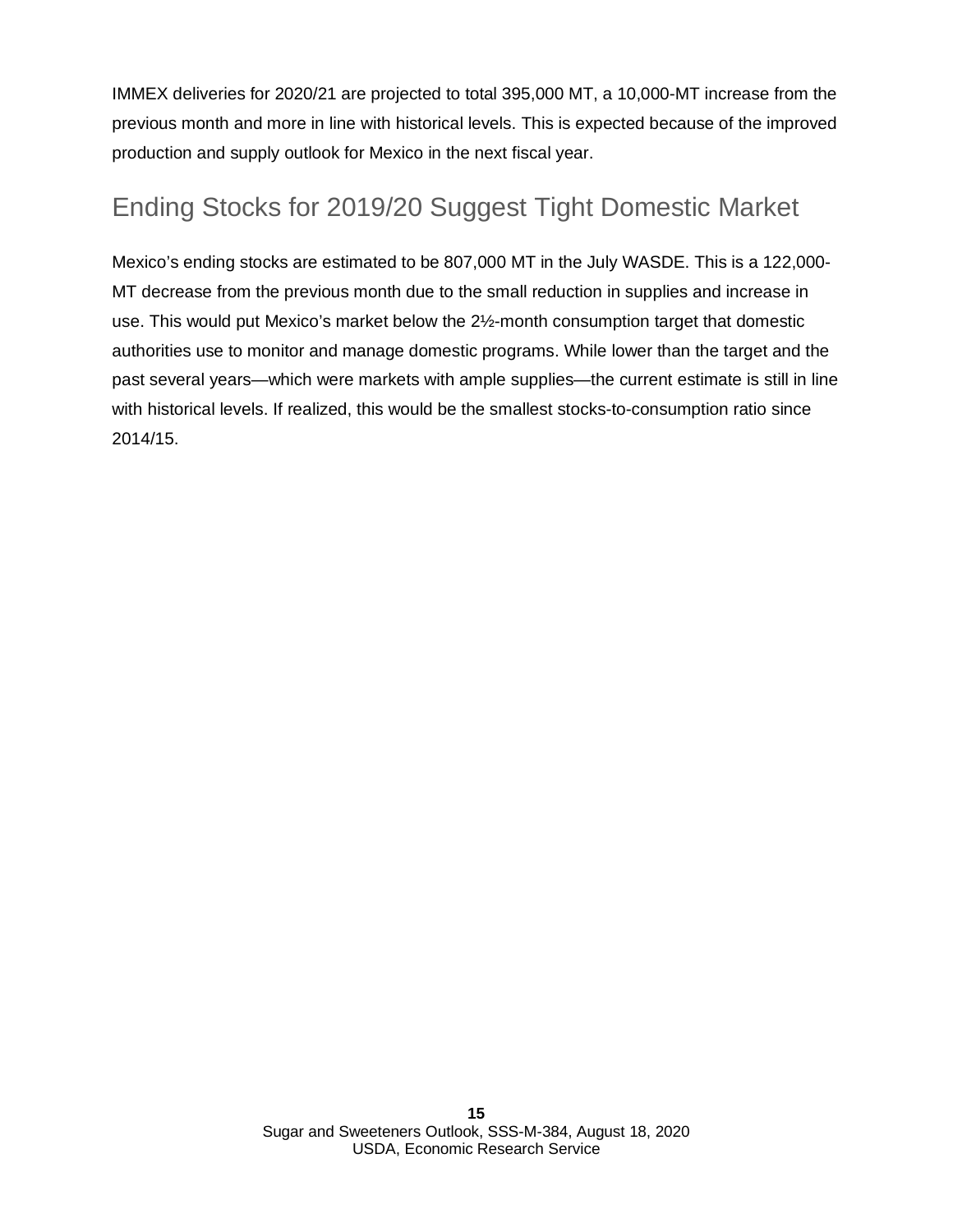IMMEX deliveries for 2020/21 are projected to total 395,000 MT, a 10,000-MT increase from the previous month and more in line with historical levels. This is expected because of the improved production and supply outlook for Mexico in the next fiscal year.

# Ending Stocks for 2019/20 Suggest Tight Domestic Market

Mexico's ending stocks are estimated to be 807,000 MT in the July WASDE. This is a 122,000- MT decrease from the previous month due to the small reduction in supplies and increase in use. This would put Mexico's market below the 2½-month consumption target that domestic authorities use to monitor and manage domestic programs. While lower than the target and the past several years—which were markets with ample supplies—the current estimate is still in line with historical levels. If realized, this would be the smallest stocks-to-consumption ratio since 2014/15.